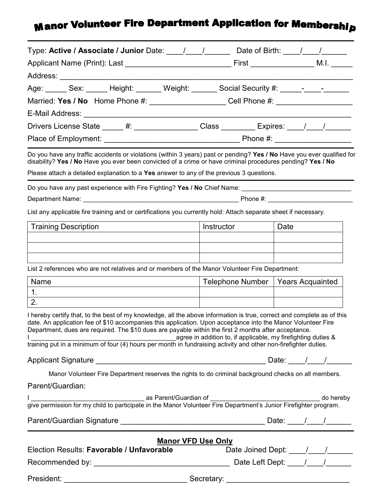## **Manor Volunteer Fire Department Application for Membership**

| Type: Active / Associate / Junior Date: \building \building \building Date of Birth: \building \building \building \building \building \building \building \building \building \building \building \building \building \buildi                                                                                                                                                                                                                                                                                                          |                                                                                  |  |      |  |  |
|-----------------------------------------------------------------------------------------------------------------------------------------------------------------------------------------------------------------------------------------------------------------------------------------------------------------------------------------------------------------------------------------------------------------------------------------------------------------------------------------------------------------------------------------|----------------------------------------------------------------------------------|--|------|--|--|
|                                                                                                                                                                                                                                                                                                                                                                                                                                                                                                                                         |                                                                                  |  |      |  |  |
| Address: ____________________________                                                                                                                                                                                                                                                                                                                                                                                                                                                                                                   |                                                                                  |  |      |  |  |
| Age: ______ Sex: ______ Height: ______ Weight: ______ Social Security #: _____-____________                                                                                                                                                                                                                                                                                                                                                                                                                                             |                                                                                  |  |      |  |  |
|                                                                                                                                                                                                                                                                                                                                                                                                                                                                                                                                         | Married: Yes / No Home Phone #: ____________________Cell Phone #: ______________ |  |      |  |  |
| E-Mail Address: E-Mail Address:                                                                                                                                                                                                                                                                                                                                                                                                                                                                                                         |                                                                                  |  |      |  |  |
| Drivers License State _____ #: _________________Class _________ Expires: ____/___/_____                                                                                                                                                                                                                                                                                                                                                                                                                                                 |                                                                                  |  |      |  |  |
|                                                                                                                                                                                                                                                                                                                                                                                                                                                                                                                                         |                                                                                  |  |      |  |  |
| Do you have any traffic accidents or violations (within 3 years) past or pending? Yes / No Have you ever qualified for<br>disability? Yes / No Have you ever been convicted of a crime or have criminal procedures pending? Yes / No<br>Please attach a detailed explanation to a Yes answer to any of the previous 3 questions.                                                                                                                                                                                                        |                                                                                  |  |      |  |  |
|                                                                                                                                                                                                                                                                                                                                                                                                                                                                                                                                         |                                                                                  |  |      |  |  |
|                                                                                                                                                                                                                                                                                                                                                                                                                                                                                                                                         |                                                                                  |  |      |  |  |
| List any applicable fire training and or certifications you currently hold: Attach separate sheet if necessary.                                                                                                                                                                                                                                                                                                                                                                                                                         |                                                                                  |  |      |  |  |
| <b>Training Description</b>                                                                                                                                                                                                                                                                                                                                                                                                                                                                                                             | Instructor                                                                       |  | Date |  |  |
| List 2 references who are not relatives and or members of the Manor Volunteer Fire Department:                                                                                                                                                                                                                                                                                                                                                                                                                                          |                                                                                  |  |      |  |  |
| Name                                                                                                                                                                                                                                                                                                                                                                                                                                                                                                                                    | Telephone Number   Years Acquainted                                              |  |      |  |  |
| 1.                                                                                                                                                                                                                                                                                                                                                                                                                                                                                                                                      |                                                                                  |  |      |  |  |
| 2.                                                                                                                                                                                                                                                                                                                                                                                                                                                                                                                                      |                                                                                  |  |      |  |  |
| I hereby certify that, to the best of my knowledge, all the above information is true, correct and complete as of this<br>date. An application fee of \$10 accompanies this application. Upon acceptance into the Manor Volunteer Fire<br>Department, dues are required. The \$10 dues are payable within the first 2 months after acceptance.<br>1<br>agree in addition to, if applicable, my firefighting duties &<br>training put in a minimum of four (4) hours per month in fundraising activity and other non-firefighter duties. |                                                                                  |  |      |  |  |
|                                                                                                                                                                                                                                                                                                                                                                                                                                                                                                                                         |                                                                                  |  |      |  |  |
| Manor Volunteer Fire Department reserves the rights to do criminal background checks on all members.                                                                                                                                                                                                                                                                                                                                                                                                                                    |                                                                                  |  |      |  |  |
| Parent/Guardian:                                                                                                                                                                                                                                                                                                                                                                                                                                                                                                                        |                                                                                  |  |      |  |  |
|                                                                                                                                                                                                                                                                                                                                                                                                                                                                                                                                         |                                                                                  |  |      |  |  |
|                                                                                                                                                                                                                                                                                                                                                                                                                                                                                                                                         |                                                                                  |  |      |  |  |
| <b>Manor VFD Use Only</b><br>Election Results: Favorable / Unfavorable                                                                                                                                                                                                                                                                                                                                                                                                                                                                  |                                                                                  |  |      |  |  |
|                                                                                                                                                                                                                                                                                                                                                                                                                                                                                                                                         |                                                                                  |  |      |  |  |
|                                                                                                                                                                                                                                                                                                                                                                                                                                                                                                                                         |                                                                                  |  |      |  |  |